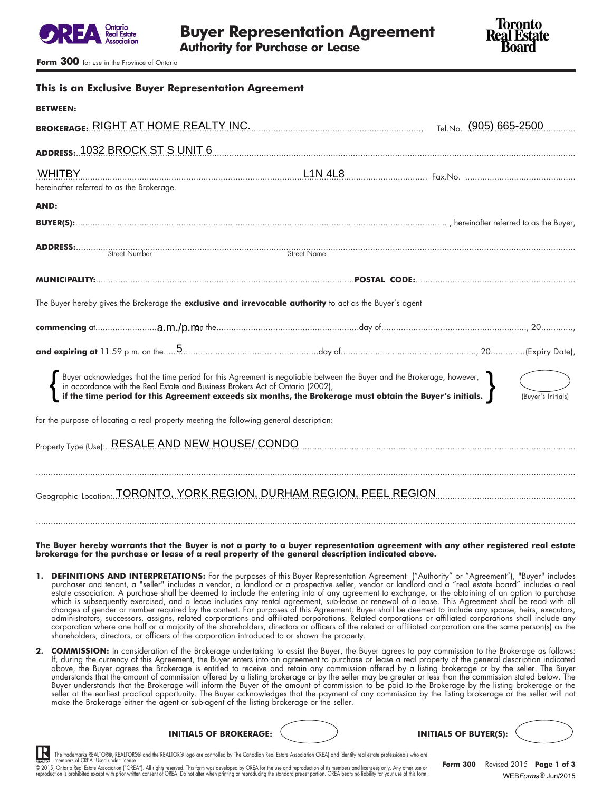



**Form 300** for use in the Province of Ontario

**This is an Exclusive Buyer Representation Agreement**

| <u>THIS IS UIT EXCLUSIVE DUYET REPRESENTUITUIT AYFEEMENT</u>                                                                                                                                                                               |  |                        |  |  |  |
|--------------------------------------------------------------------------------------------------------------------------------------------------------------------------------------------------------------------------------------------|--|------------------------|--|--|--|
| <b>BETWEEN:</b>                                                                                                                                                                                                                            |  |                        |  |  |  |
| BROKERAGE: RIGHT AT HOME REALTY INC.                                                                                                                                                                                                       |  | Tel.No. (905) 665-2500 |  |  |  |
| ADDRESS: 1032 BROCK ST S UNIT 6                                                                                                                                                                                                            |  |                        |  |  |  |
| <b>WHITBY</b>                                                                                                                                                                                                                              |  |                        |  |  |  |
| hereinafter referred to as the Brokerage.                                                                                                                                                                                                  |  |                        |  |  |  |
| <b>AND:</b>                                                                                                                                                                                                                                |  |                        |  |  |  |
| ADDRESS:<br>Street Number Street Number Street Number                                                                                                                                                                                      |  |                        |  |  |  |
|                                                                                                                                                                                                                                            |  |                        |  |  |  |
| The Buyer hereby gives the Brokerage the exclusive and irrevocable authority to act as the Buyer's agent                                                                                                                                   |  |                        |  |  |  |
|                                                                                                                                                                                                                                            |  |                        |  |  |  |
|                                                                                                                                                                                                                                            |  |                        |  |  |  |
| Buyer acknowledges that the time period for this Agreement is negotiable between the Buyer and the Brokerage, however,<br>in accordance with the Real Estate and Business Brokers Act of Ontario (2002),<br><b>if the time period for </b> |  | (Buyer's Initials)     |  |  |  |
| for the purpose of locating a real property meeting the following general description:                                                                                                                                                     |  |                        |  |  |  |
| Property Type (Use): RESALE AND NEW HOUSE/ CONDO                                                                                                                                                                                           |  |                        |  |  |  |
|                                                                                                                                                                                                                                            |  |                        |  |  |  |
| Geographic Location: TORONTO, YORK REGION, DURHAM REGION, PEEL REGION                                                                                                                                                                      |  |                        |  |  |  |
|                                                                                                                                                                                                                                            |  |                        |  |  |  |

**The Buyer hereby warrants that the Buyer is not a party to a buyer representation agreement with any other registered real estate brokerage for the purchase or lease of a real property of the general description indicated above.**

- **1. DEFINITIONS AND INTERPRETATIONS:** For the purposes of this Buyer Representation Agreement ("Authority" or "Agreement"), "Buyer" includes purchaser and tenant, a "seller" includes a vendor, a landlord or a prospective seller, vendor or landlord and a "real estate board" includes a real estate association. A purchase shall be deemed to include the entering into of any agreement to exchange, or the obtaining of an option to purchase which is subsequently exercised, and a lease includes any rental agreement, sub-lease or renewal of a lease. This Agreement shall be read with all changes of gender or number required by the context. For purposes of this Agreement, Buyer shall be deemed to include any spouse, heirs, executors, administrators, successors, assigns, related corporations and affiliated corporations. Related corporations or affiliated corporations shall include any corporation where one half or a majority of the shareholders, directors or officers of the related or affiliated corporation are the same person(s) as the shareholders, directors, or officers of the corporation introduced to or shown the property.
- **2. COMMISSION:** In consideration of the Brokerage undertaking to assist the Buyer, the Buyer agrees to pay commission to the Brokerage as follows: If, during the currency of this Agreement, the Buyer enters into an agreement to purchase or lease a real property of the general description indicated above, the Buyer agrees the Brokerage is entitled to receive and retain any commission offered by a listing brokerage or by the seller. The Buyer understands that the amount of commission offered by a listing brokerage or by the seller may be greater or less than the commission stated below. The Buyer understands that the Brokerage will inform the Buyer of the amount of commission to be paid to the Brokerage by the listing brokerage or the seller at the earliest practical opportunity. The Buyer acknowledges that the payment of any commission by the listing brokerage or the seller will not make the Brokerage either the agent or sub-agent of the listing brokerage or the seller.

**INITIALS OF BROKERAGE:**  $\left(\begin{array}{ccc} & \ & \ & \ & \ & & \end{array}\right)$  **INITIALS OF BUYER(S):** 





The trademarks REALTOR®, REALTORS® and the REALTOR® logo are controlled by The Canadian Real Estate Association CREA) and identify real estate professionals who are members of CREA. Used under license. C 2015, Ontario Real Estate Association ("OREA"). All rights reserved. Ihis form was developed by OREA for the use and reproduction of its members and licensees only. Any other use or the state of the standard preserved. I

**Form 300** Revised 2015 **Page 1 of 3**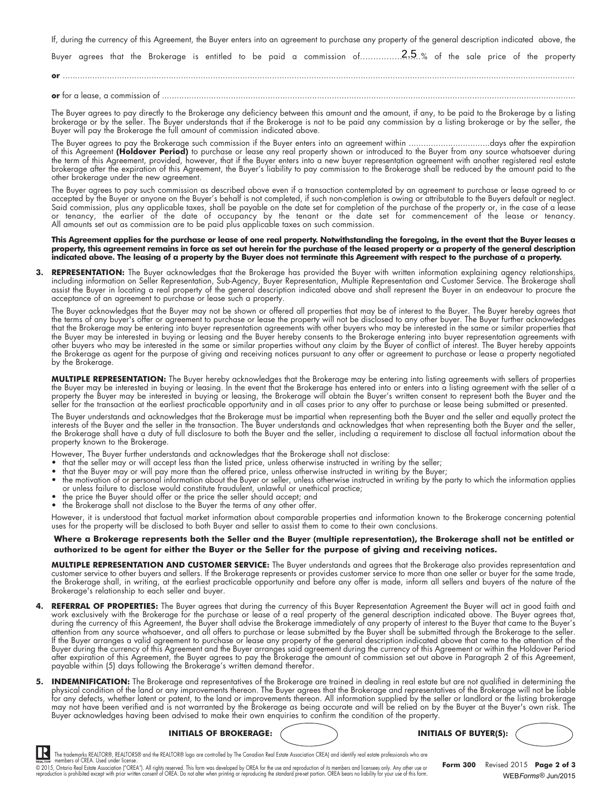If, during the currency of this Agreement, the Buyer enters into an agreement to purchase any property of the general description indicated above, the

Buyer agrees that the Brokerage is entitled to be paid a commission of………………2.5.% of the sale price of the property

**or** ................................................................................................................................................................................................................

**or** for a lease, a commission of ........................................................................................................................................................................

The Buyer agrees to pay directly to the Brokerage any deficiency between this amount and the amount, if any, to be paid to the Brokerage by a listing brokerage or by the seller. The Buyer understands that if the Brokerage is not to be paid any commission by a listing brokerage or by the seller, the Buyer will pay the Brokerage the full amount of commission indicated above.

The Buyer agrees to pay the Brokerage such commission if the Buyer enters into an agreement within .................................days after the expiration of this Agreement **(Holdover Period)** to purchase or lease any real property shown or introduced to the Buyer from any source whatsoever during the term of this Agreement, provided, however, that if the Buyer enters into a new buyer representation agreement with another registered real estate brokerage after the expiration of this Agreement, the Buyer's liability to pay commission to the Brokerage shall be reduced by the amount paid to the other brokerage under the new agreement.

The Buyer agrees to pay such commission as described above even if a transaction contemplated by an agreement to purchase or lease agreed to or accepted by the Buyer or anyone on the Buyer's behalf is not completed, if such non-completion is owing or attributable to the Buyers default or neglect. Said commission, plus any applicable taxes, shall be payable on the date set for completion of the purchase of the property or, in the case of a lease or tenancy, the earlier of the date of occupancy by the tenant or the date set for commencement of the lease or tenancy. All amounts set out as commission are to be paid plus applicable taxes on such commission.

**This Agreement applies for the purchase or lease of one real property. Notwithstanding the foregoing, in the event that the Buyer leases a property, this agreement remains in force as set out herein for the purchase of the leased property or a property of the general description indicated above. The leasing of a property by the Buyer does not terminate this Agreement with respect to the purchase of a property.**

**3. REPRESENTATION:** The Buyer acknowledges that the Brokerage has provided the Buyer with written information explaining agency relationships, including information on Seller Representation, Sub-Agency, Buyer Representation, Multiple Representation and Customer Service. The Brokerage shall assist the Buyer in locating a real property of the general description indicated above and shall represent the Buyer in an endeavour to procure the acceptance of an agreement to purchase or lease such a property.

The Buyer acknowledges that the Buyer may not be shown or offered all properties that may be of interest to the Buyer. The Buyer hereby agrees that the terms of any buyer's offer or agreement to purchase or lease the property will not be disclosed to any other buyer. The Buyer further acknowledges that the Brokerage may be entering into buyer representation agreements with other buyers who may be interested in the same or similar properties that the Buyer may be interested in buying or leasing and the Buyer hereby consents to the Brokerage entering into buyer representation agreements with other buyers who may be interested in the same or similar properties without any claim by the Buyer of conflict of interest. The Buyer hereby appoints the Brokerage as agent for the purpose of giving and receiving notices pursuant to any offer or agreement to purchase or lease a property negotiated by the Brokerage.

**MULTIPLE REPRESENTATION:** The Buyer hereby acknowledges that the Brokerage may be entering into listing agreements with sellers of properties the Buyer may be interested in buying or leasing. In the event that the Brokerage has entered into or enters into a listing agreement with the seller of a property the Buyer may be interested in buying or leasing, the Brokerage will obtain the Buyer's written consent to represent both the Buyer and the seller for the transaction at the earliest practicable opportunity and in all cases prior to any offer to purchase or lease being submitted or presented.

The Buyer understands and acknowledges that the Brokerage must be impartial when representing both the Buyer and the seller and equally protect the interests of the Buyer and the seller in the transaction. The Buyer understands and acknowledges that when representing both the Buyer and the seller, the Brokerage shall have a duty of full disclosure to both the Buyer and the seller, including a requirement to disclose all factual information about the property known to the Brokerage.

However, The Buyer further understands and acknowledges that the Brokerage shall not disclose:

- that the seller may or will accept less than the listed price, unless otherwise instructed in writing by the seller;
- that the Buyer may or will pay more than the offered price, unless otherwise instructed in writing by the Buyer;
- the motivation of or personal information about the Buyer or seller, unless otherwise instructed in writing by the party to which the information applies or unless failure to disclose would constitute fraudulent, unlawful or unethical practice;
- the price the Buyer should offer or the price the seller should accept; and
- the Brokerage shall not disclose to the Buyer the terms of any other offer.

However, it is understood that factual market information about comparable properties and information known to the Brokerage concerning potential uses for the property will be disclosed to both Buyer and seller to assist them to come to their own conclusions.

## **Where a Brokerage represents both the Seller and the Buyer (multiple representation), the Brokerage shall not be entitled or authorized to be agent for either the Buyer or the Seller for the purpose of giving and receiving notices.**

**MULTIPLE REPRESENTATION AND CUSTOMER SERVICE:** The Buyer understands and agrees that the Brokerage also provides representation and customer service to other buyers and sellers. If the Brokerage represents or provides customer service to more than one seller or buyer for the same trade, the Brokerage shall, in writing, at the earliest practicable opportunity and before any offer is made, inform all sellers and buyers of the nature of the Brokerage's relationship to each seller and buyer.

- **4. REFERRAL OF PROPERTIES:** The Buyer agrees that during the currency of this Buyer Representation Agreement the Buyer will act in good faith and work exclusively with the Brokerage for the purchase or lease of a real property of the general description indicated above. The Buyer agrees that, during the currency of this Agreement, the Buyer shall advise the Brokerage immediately of any property of interest to the Buyer that came to the Buyer's attention from any source whatsoever, and all offers to purchase or lease submitted by the Buyer shall be submitted through the Brokerage to the seller. If the Buyer arranges a valid agreement to purchase or lease any property of the general description indicated above that came to the attention of the Buyer during the currency of this Agreement and the Buyer arranges said agreement during the currency of this Agreement or within the Holdover Period after expiration of this Agreement, the Buyer agrees to pay the Brokerage the amount of commission set out above in Paragraph 2 of this Agreement, payable within (5) days following the Brokerage's written demand therefor.
- **5. INDEMNIFICATION:** The Brokerage and representatives of the Brokerage are trained in dealing in real estate but are not qualified in determining the physical condition of the land or any improvements thereon. The Buyer agrees that the Brokerage and representatives of the Brokerage will not be liable for any defects, whether latent or patent, to the land or improvements thereon. All information supplied by the seller or landlord or the listing brokerage may not have been verified and is not warranted by the Brokerage as being accurate and will be relied on by the Buyer at the Buyer's own risk. The Buyer acknowledges having been advised to make their own enquiries to confirm the condition of the property.



Ihe trademarks KEALIOR®, KEALIORS® and the KEALIOR® logo are controlled by The Canadian Keal Estate Association CREA) and identity real estate protessionals who are<br>members of CREA. Used under license. C 2015, Ontario Real Estate Association ("OREA"). All rights reserved. Ihis form was developed by OREA for the use and reproduction of its members and licensees only. Any other use or the state of the standard preserved. I

**Form 300** Revised 2015 **Page 2 of 3**